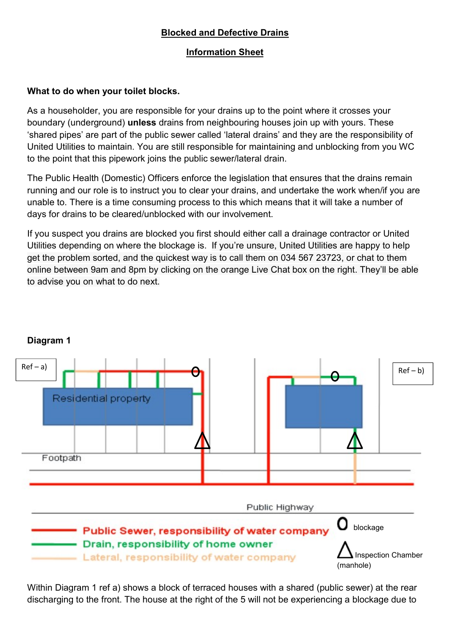# Blocked and Defective Drains

## Information Sheet

## What to do when your toilet blocks.

As a householder, you are responsible for your drains up to the point where it crosses your boundary (underground) unless drains from neighbouring houses join up with yours. These 'shared pipes' are part of the public sewer called 'lateral drains' and they are the responsibility of United Utilities to maintain. You are still responsible for maintaining and unblocking from you WC to the point that this pipework joins the public sewer/lateral drain.

The Public Health (Domestic) Officers enforce the legislation that ensures that the drains remain running and our role is to instruct you to clear your drains, and undertake the work when/if you are unable to. There is a time consuming process to this which means that it will take a number of days for drains to be cleared/unblocked with our involvement.

If you suspect you drains are blocked you first should either call a drainage contractor or United Utilities depending on where the blockage is. If you're unsure, United Utilities are happy to help get the problem sorted, and the quickest way is to call them on 034 567 23723, or chat to them online between 9am and 8pm by clicking on the orange Live Chat box on the right. They'll be able to advise you on what to do next.



# Diagram 1

Within Diagram 1 ref a) shows a block of terraced houses with a shared (public sewer) at the rear discharging to the front. The house at the right of the 5 will not be experiencing a blockage due to